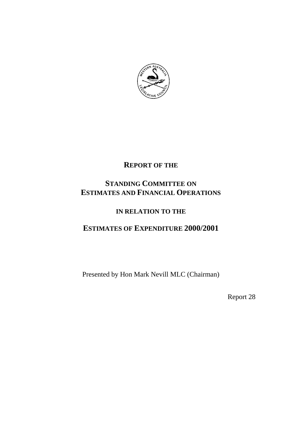

# **REPORT OF THE**

# **STANDING COMMITTEE ON ESTIMATES AND FINANCIAL OPERATIONS**

# **IN RELATION TO THE**

# **ESTIMATES OF EXPENDITURE 2000/2001**

Presented by Hon Mark Nevill MLC (Chairman)

Report 28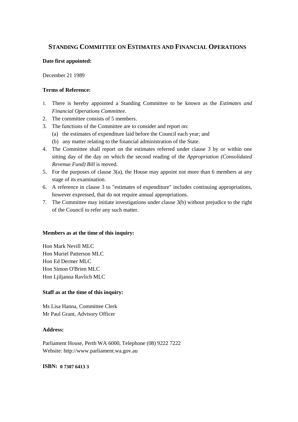# **STANDING COMMITTEE ON ESTIMATES AND FINANCIAL OPERATIONS**

### **Date first appointed:**

December 21 1989

### **Terms of Reference:**

- 1. There is hereby appointed a Standing Committee to be known as the *Estimates and Financial Operations Committee.*
- 2. The committee consists of 5 members.
- 3. The functions of the Committee are to consider and report on:
	- (a) the estimates of expenditure laid before the Council each year; and
	- (b) any matter relating to the financial administration of the State.
- 4. The Committee shall report on the estimates referred under clause 3 by or within one sitting day of the day on which the second reading of the *Appropriation (Consolidated Revenue Fund) Bill* is moved.
- 5. For the purposes of clause 3(a), the House may appoint not more than 6 members at any stage of its examination.
- 6. A reference in clause 3 to "estimates of expenditure" includes continuing appropriations, however expressed, that do not require annual appropriations.
- 7. The Committee may initiate investigations under clause 3(b) without prejudice to the right of the Council to refer any such matter.

### **Members as at the time of this inquiry:**

Hon Mark Nevill MLC Hon Muriel Patterson MLC Hon Ed Dermer MLC Hon Simon O'Brien MLC Hon Ljiljanna Ravlich MLC

### **Staff as at the time of this inquiry:**

Ms Lisa Hanna, Committee Clerk Mr Paul Grant, Advisory Officer

### **Address:**

Parliament House, Perth WA 6000, Telephone (08) 9222 7222 Website: http://www.parliament.wa.gov.au

**ISBN: 0 7307 6413 3**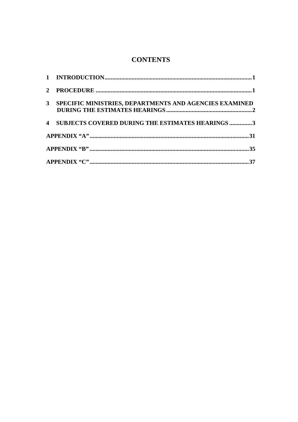# **CONTENTS**

| $\mathbf{2}$   |                                                               |
|----------------|---------------------------------------------------------------|
| 3 <sup>1</sup> | <b>SPECIFIC MINISTRIES, DEPARTMENTS AND AGENCIES EXAMINED</b> |
| $\overline{4}$ | SUBJECTS COVERED DURING THE ESTIMATES HEARINGS 3              |
|                |                                                               |
|                |                                                               |
|                |                                                               |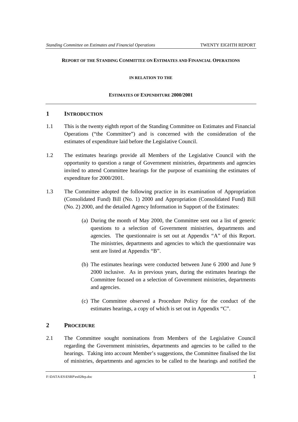### **REPORT OF THE STANDING COMMITTEE ON ESTIMATES AND FINANCIAL OPERATIONS**

**IN RELATION TO THE**

### **ESTIMATES OF EXPENDITURE 2000/2001**

### **1 INTRODUCTION**

- 1.1 This is the twenty eighth report of the Standing Committee on Estimates and Financial Operations ("the Committee") and is concerned with the consideration of the estimates of expenditure laid before the Legislative Council.
- 1.2 The estimates hearings provide all Members of the Legislative Council with the opportunity to question a range of Government ministries, departments and agencies invited to attend Committee hearings for the purpose of examining the estimates of expenditure for 2000/2001.
- 1.3 The Committee adopted the following practice in its examination of Appropriation (Consolidated Fund) Bill (No. 1) 2000 and Appropriation (Consolidated Fund) Bill (No. 2) 2000, and the detailed Agency Information in Support of the Estimates:
	- (a) During the month of May 2000, the Committee sent out a list of generic questions to a selection of Government ministries, departments and agencies. The questionnaire is set out at Appendix "A" of this Report. The ministries, departments and agencies to which the questionnaire was sent are listed at Appendix "B".
	- (b) The estimates hearings were conducted between June 6 2000 and June 9 2000 inclusive. As in previous years, during the estimates hearings the Committee focused on a selection of Government ministries, departments and agencies.
	- (c) The Committee observed a Procedure Policy for the conduct of the estimates hearings, a copy of which is set out in Appendix "C".

### **2 PROCEDURE**

2.1 The Committee sought nominations from Members of the Legislative Council regarding the Government ministries, departments and agencies to be called to the hearings. Taking into account Member's suggestions, the Committee finalised the list of ministries, departments and agencies to be called to the hearings and notified the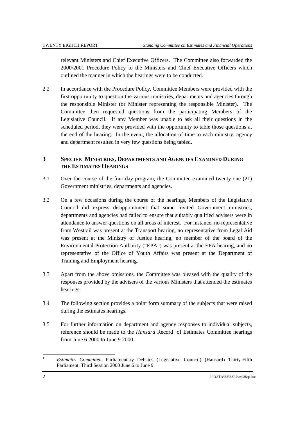relevant Ministers and Chief Executive Officers. The Committee also forwarded the 2000/2001 Procedure Policy to the Ministers and Chief Executive Officers which outlined the manner in which the hearings were to be conducted.

2.2 In accordance with the Procedure Policy, Committee Members were provided with the first opportunity to question the various ministries, departments and agencies through the responsible Minister (or Minister representing the responsible Minister). The Committee then requested questions from the participating Members of the Legislative Council. If any Member was unable to ask all their questions in the scheduled period, they were provided with the opportunity to table those questions at the end of the hearing. In the event, the allocation of time to each ministry, agency and department resulted in very few questions being tabled.

# **3 SPECIFIC MINISTRIES, DEPARTMENTS AND AGENCIES EXAMINED DURING THE ESTIMATES HEARINGS**

- 3.1 Over the course of the four-day program, the Committee examined twenty-one (21) Government ministries, departments and agencies.
- 3.2 On a few occasions during the course of the hearings, Members of the Legislative Council did express disappointment that some invited Government ministries, departments and agencies had failed to ensure that suitably qualified advisers were in attendance to answer questions on all areas of interest. For instance, no representative from Westrail was present at the Transport hearing, no representative from Legal Aid was present at the Ministry of Justice hearing, no member of the board of the Environmental Protection Authority ("EPA") was present at the EPA hearing, and no representative of the Office of Youth Affairs was present at the Department of Training and Employment hearing.
- 3.3 Apart from the above omissions, the Committee was pleased with the quality of the responses provided by the advisers of the various Ministers that attended the estimates hearings.
- 3.4 The following section provides a point form summary of the subjects that were raised during the estimates hearings.
- 3.5 For further information on department and agency responses to individual subjects, reference should be made to the *Hansard* Record<sup>1</sup> of Estimates Committee hearings from June 6 2000 to June 9 2000.

 $\mathbf{1}$ <sup>1</sup> *Estimates Committee,* Parliamentary Debates (Legislative Council) (Hansard) Thirty-Fifth Parliament, Third Session 2000 June 6 to June 9.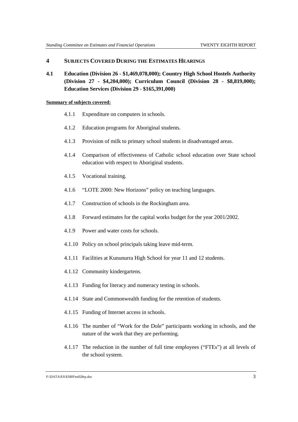### **4 SUBJECTS COVERED DURING THE ESTIMATES HEARINGS**

**4.1 Education (Division 26 - \$1,469,078,000); Country High School Hostels Authority (Division 27 - \$4,204,000); Curriculum Council (Division 28 - \$8,819,000); Education Services (Division 29 - \$165,391,000)**

### **Summary of subjects covered:**

- 4.1.1 Expenditure on computers in schools.
- 4.1.2 Education programs for Aboriginal students.
- 4.1.3 Provision of milk to primary school students in disadvantaged areas.
- 4.1.4 Comparison of effectiveness of Catholic school education over State school education with respect to Aboriginal students.
- 4.1.5 Vocational training.
- 4.1.6 "LOTE 2000: New Horizons" policy on teaching languages.
- 4.1.7 Construction of schools in the Rockingham area.
- 4.1.8 Forward estimates for the capital works budget for the year 2001/2002.
- 4.1.9 Power and water costs for schools.
- 4.1.10 Policy on school principals taking leave mid-term.
- 4.1.11 Facilities at Kununurra High School for year 11 and 12 students.
- 4.1.12 Community kindergartens.
- 4.1.13 Funding for literacy and numeracy testing in schools.
- 4.1.14 State and Commonwealth funding for the retention of students.
- 4.1.15 Funding of Internet access in schools.
- 4.1.16 The number of "Work for the Dole" participants working in schools, and the nature of the work that they are performing.
- 4.1.17 The reduction in the number of full time employees ("FTEs") at all levels of the school system.

#### F:\DATA\ES\ESRP\es028rp.doc 3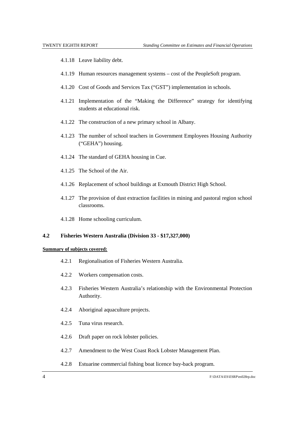- 4.1.18 Leave liability debt.
- 4.1.19 Human resources management systems cost of the PeopleSoft program.
- 4.1.20 Cost of Goods and Services Tax ("GST") implementation in schools.
- 4.1.21 Implementation of the "Making the Difference" strategy for identifying students at educational risk.
- 4.1.22 The construction of a new primary school in Albany.
- 4.1.23 The number of school teachers in Government Employees Housing Authority ("GEHA") housing.
- 4.1.24 The standard of GEHA housing in Cue.
- 4.1.25 The School of the Air.
- 4.1.26 Replacement of school buildings at Exmouth District High School.
- 4.1.27 The provision of dust extraction facilities in mining and pastoral region school classrooms.
- 4.1.28 Home schooling curriculum.

### **4.2 Fisheries Western Australia (Division 33 - \$17,327,000)**

- 4.2.1 Regionalisation of Fisheries Western Australia.
- 4.2.2 Workers compensation costs.
- 4.2.3 Fisheries Western Australia's relationship with the Environmental Protection Authority.
- 4.2.4 Aboriginal aquaculture projects.
- 4.2.5 Tuna virus research.
- 4.2.6 Draft paper on rock lobster policies.
- 4.2.7 Amendment to the West Coast Rock Lobster Management Plan.
- 4.2.8 Estuarine commercial fishing boat licence buy-back program.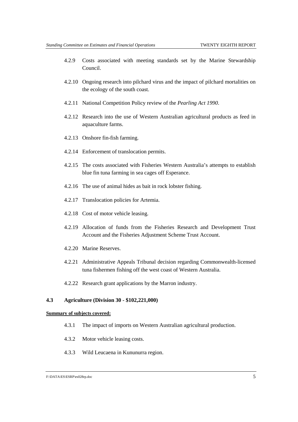- 4.2.9 Costs associated with meeting standards set by the Marine Stewardship Council.
- 4.2.10 Ongoing research into pilchard virus and the impact of pilchard mortalities on the ecology of the south coast.
- 4.2.11 National Competition Policy review of the *Pearling Act 1990*.
- 4.2.12 Research into the use of Western Australian agricultural products as feed in aquaculture farms.
- 4.2.13 Onshore fin-fish farming.
- 4.2.14 Enforcement of translocation permits.
- 4.2.15 The costs associated with Fisheries Western Australia's attempts to establish blue fin tuna farming in sea cages off Esperance.
- 4.2.16 The use of animal hides as bait in rock lobster fishing.
- 4.2.17 Translocation policies for Artemia.
- 4.2.18 Cost of motor vehicle leasing.
- 4.2.19 Allocation of funds from the Fisheries Research and Development Trust Account and the Fisheries Adjustment Scheme Trust Account.
- 4.2.20 Marine Reserves.
- 4.2.21 Administrative Appeals Tribunal decision regarding Commonwealth-licensed tuna fishermen fishing off the west coast of Western Australia.
- 4.2.22 Research grant applications by the Marron industry.

### **4.3 Agriculture (Division 30 - \$102,221,000)**

- 4.3.1 The impact of imports on Western Australian agricultural production.
- 4.3.2 Motor vehicle leasing costs.
- 4.3.3 Wild Leucaena in Kununurra region.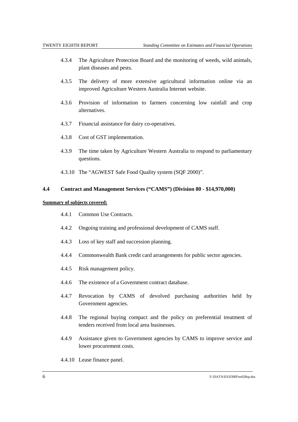- 4.3.4 The Agriculture Protection Board and the monitoring of weeds, wild animals, plant diseases and pests.
- 4.3.5 The delivery of more extensive agricultural information online via an improved Agriculture Western Australia Internet website.
- 4.3.6 Provision of information to farmers concerning low rainfall and crop alternatives.
- 4.3.7 Financial assistance for dairy co-operatives.
- 4.3.8 Cost of GST implementation.
- 4.3.9 The time taken by Agriculture Western Australia to respond to parliamentary questions.
- 4.3.10 The "AGWEST Safe Food Quality system (SQF 2000)".

### **4.4 Contract and Management Services ("CAMS") (Division 80 - \$14,970,000)**

- 4.4.1 Common Use Contracts.
- 4.4.2 Ongoing training and professional development of CAMS staff.
- 4.4.3 Loss of key staff and succession planning.
- 4.4.4 Commonwealth Bank credit card arrangements for public sector agencies.
- 4.4.5 Risk management policy.
- 4.4.6 The existence of a Government contract database.
- 4.4.7 Revocation by CAMS of devolved purchasing authorities held by Government agencies.
- 4.4.8 The regional buying compact and the policy on preferential treatment of tenders received from local area businesses.
- 4.4.9 Assistance given to Government agencies by CAMS to improve service and lower procurement costs.
- 4.4.10 Lease finance panel.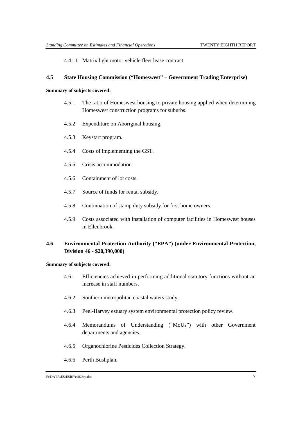4.4.11 Matrix light motor vehicle fleet lease contract.

### **4.5 State Housing Commission ("Homeswest" – Government Trading Enterprise)**

### **Summary of subjects covered:**

- 4.5.1 The ratio of Homeswest housing to private housing applied when determining Homeswest construction programs for suburbs.
- 4.5.2 Expenditure on Aboriginal housing.
- 4.5.3 Keystart program.
- 4.5.4 Costs of implementing the GST.
- 4.5.5 Crisis accommodation.
- 4.5.6 Containment of lot costs.
- 4.5.7 Source of funds for rental subsidy.
- 4.5.8 Continuation of stamp duty subsidy for first home owners.
- 4.5.9 Costs associated with installation of computer facilities in Homeswest houses in Ellenbrook.

## **4.6 Environmental Protection Authority ("EPA") (under Environmental Protection, Division 46 - \$20,390,000)**

- 4.6.1 Efficiencies achieved in performing additional statutory functions without an increase in staff numbers.
- 4.6.2 Southern metropolitan coastal waters study.
- 4.6.3 Peel-Harvey estuary system environmental protection policy review.
- 4.6.4 Memorandums of Understanding ("MoUs") with other Government departments and agencies.
- 4.6.5 Organochlorine Pesticides Collection Strategy.
- 4.6.6 Perth Bushplan.

F:\DATA\ES\ESRP\es028rp.doc 7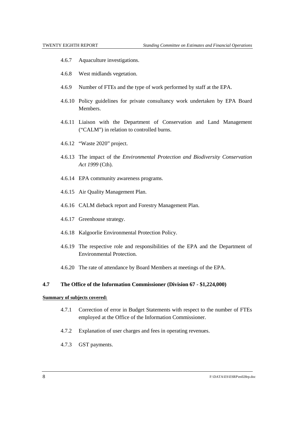- 4.6.7 Aquaculture investigations.
- 4.6.8 West midlands vegetation.
- 4.6.9 Number of FTEs and the type of work performed by staff at the EPA.
- 4.6.10 Policy guidelines for private consultancy work undertaken by EPA Board **Members**
- 4.6.11 Liaison with the Department of Conservation and Land Management ("CALM") in relation to controlled burns.
- 4.6.12 "Waste 2020" project.
- 4.6.13 The impact of the *Environmental Protection and Biodiversity Conservation Act 1999* (Cth).
- 4.6.14 EPA community awareness programs.
- 4.6.15 Air Quality Management Plan.
- 4.6.16 CALM dieback report and Forestry Management Plan.
- 4.6.17 Greenhouse strategy.
- 4.6.18 Kalgoorlie Environmental Protection Policy.
- 4.6.19 The respective role and responsibilities of the EPA and the Department of Environmental Protection.
- 4.6.20 The rate of attendance by Board Members at meetings of the EPA.

### **4.7 The Office of the Information Commissioner (Division 67 - \$1,224,000)**

- 4.7.1 Correction of error in Budget Statements with respect to the number of FTEs employed at the Office of the Information Commissioner.
- 4.7.2 Explanation of user charges and fees in operating revenues.
- 4.7.3 GST payments.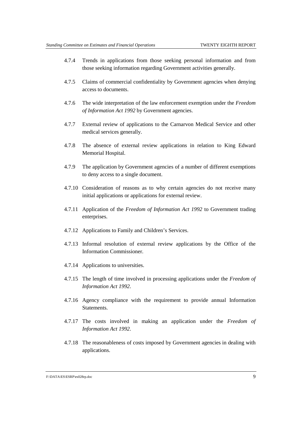- 4.7.4 Trends in applications from those seeking personal information and from those seeking information regarding Government activities generally.
- 4.7.5 Claims of commercial confidentiality by Government agencies when denying access to documents.
- 4.7.6 The wide interpretation of the law enforcement exemption under the *Freedom of Information Act 1992* by Government agencies.
- 4.7.7 External review of applications to the Carnarvon Medical Service and other medical services generally.
- 4.7.8 The absence of external review applications in relation to King Edward Memorial Hospital.
- 4.7.9 The application by Government agencies of a number of different exemptions to deny access to a single document.
- 4.7.10 Consideration of reasons as to why certain agencies do not receive many initial applications or applications for external review.
- 4.7.11 Application of the *Freedom of Information Act 1992* to Government trading enterprises.
- 4.7.12 Applications to Family and Children's Services.
- 4.7.13 Informal resolution of external review applications by the Office of the Information Commissioner.
- 4.7.14 Applications to universities.
- 4.7.15 The length of time involved in processing applications under the *Freedom of Information Act 1992*.
- 4.7.16 Agency compliance with the requirement to provide annual Information Statements.
- 4.7.17 The costs involved in making an application under the *Freedom of Information Act 1992*.
- 4.7.18 The reasonableness of costs imposed by Government agencies in dealing with applications.

#### F:\DATA\ES\ESRP\es028rp.doc 9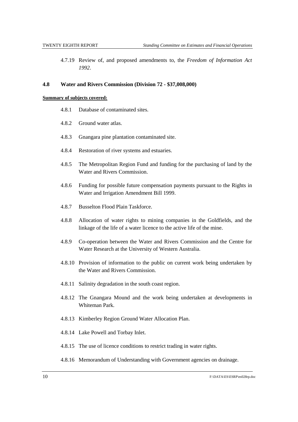4.7.19 Review of, and proposed amendments to, the *Freedom of Information Act 1992*.

#### **4.8 Water and Rivers Commission (Division 72 - \$37,008,000)**

- 4.8.1 Database of contaminated sites.
- 4.8.2 Ground water atlas.
- 4.8.3 Gnangara pine plantation contaminated site.
- 4.8.4 Restoration of river systems and estuaries.
- 4.8.5 The Metropolitan Region Fund and funding for the purchasing of land by the Water and Rivers Commission.
- 4.8.6 Funding for possible future compensation payments pursuant to the Rights in Water and Irrigation Amendment Bill 1999.
- 4.8.7 Busselton Flood Plain Taskforce.
- 4.8.8 Allocation of water rights to mining companies in the Goldfields, and the linkage of the life of a water licence to the active life of the mine.
- 4.8.9 Co-operation between the Water and Rivers Commission and the Centre for Water Research at the University of Western Australia.
- 4.8.10 Provision of information to the public on current work being undertaken by the Water and Rivers Commission.
- 4.8.11 Salinity degradation in the south coast region.
- 4.8.12 The Gnangara Mound and the work being undertaken at developments in Whiteman Park.
- 4.8.13 Kimberley Region Ground Water Allocation Plan.
- 4.8.14 Lake Powell and Torbay Inlet.
- 4.8.15 The use of licence conditions to restrict trading in water rights.
- 4.8.16 Memorandum of Understanding with Government agencies on drainage.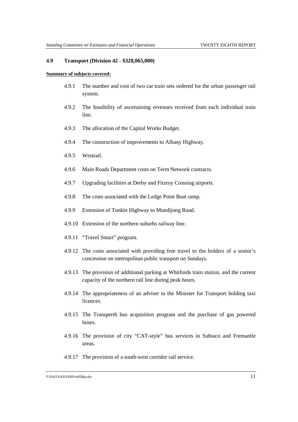#### **4.9 Transport (Division 42 - \$328,065,000)**

- 4.9.1 The number and cost of two car train sets ordered for the urban passenger rail system.
- 4.9.2 The feasibility of ascertaining revenues received from each individual train line.
- 4.9.3 The allocation of the Capital Works Budget.
- 4.9.4 The construction of improvements to Albany Highway.
- 4.9.5 Westrail.
- 4.9.6 Main Roads Department costs on Term Network contracts.
- 4.9.7 Upgrading facilities at Derby and Fitzroy Crossing airports.
- 4.9.8 The costs associated with the Ledge Point Boat ramp.
- 4.9.9 Extension of Tonkin Highway to Mundijong Road.
- 4.9.10 Extension of the northern suburbs railway line.
- 4.9.11 "Travel Smart" program.
- 4.9.12 The costs associated with providing free travel to the holders of a senior's concession on metropolitan public transport on Sundays.
- 4.9.13 The provision of additional parking at Whitfords train station, and the current capacity of the northern rail line during peak hours.
- 4.9.14 The appropriateness of an adviser to the Minister for Transport holding taxi licences.
- 4.9.15 The Transperth bus acquisition program and the purchase of gas powered buses.
- 4.9.16 The provision of city "CAT-style" bus services in Subiaco and Fremantle areas.
- 4.9.17 The provision of a south-west corridor rail service.

F:\DATA\ES\ESRP\es028rp.doc 11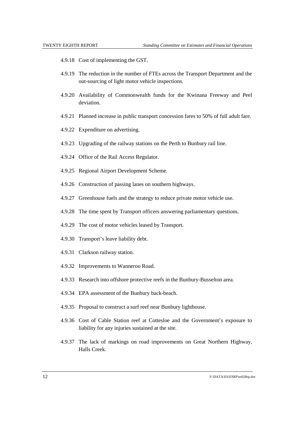- 4.9.18 Cost of implementing the GST.
- 4.9.19 The reduction in the number of FTEs across the Transport Department and the out-sourcing of light motor vehicle inspections.
- 4.9.20 Availability of Commonwealth funds for the Kwinana Freeway and Peel deviation.
- 4.9.21 Planned increase in public transport concession fares to 50% of full adult fare.
- 4.9.22 Expenditure on advertising.
- 4.9.23 Upgrading of the railway stations on the Perth to Bunbury rail line.
- 4.9.24 Office of the Rail Access Regulator.
- 4.9.25 Regional Airport Development Scheme.
- 4.9.26 Construction of passing lanes on southern highways.
- 4.9.27 Greenhouse fuels and the strategy to reduce private motor vehicle use.
- 4.9.28 The time spent by Transport officers answering parliamentary questions.
- 4.9.29 The cost of motor vehicles leased by Transport.
- 4.9.30 Transport's leave liability debt.
- 4.9.31 Clarkson railway station.
- 4.9.32 Improvements to Wanneroo Road.
- 4.9.33 Research into offshore protective reefs in the Bunbury-Busselton area.
- 4.9.34 EPA assessment of the Bunbury back-beach.
- 4.9.35 Proposal to construct a surf reef near Bunbury lighthouse.
- 4.9.36 Cost of Cable Station reef at Cottesloe and the Government's exposure to liability for any injuries sustained at the site.
- 4.9.37 The lack of markings on road improvements on Great Northern Highway, Halls Creek.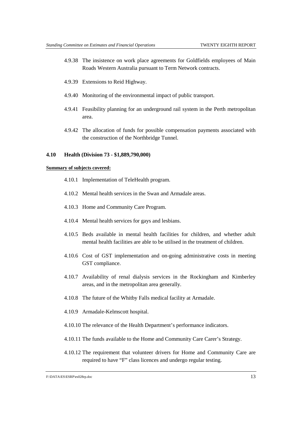- 4.9.38 The insistence on work place agreements for Goldfields employees of Main Roads Western Australia pursuant to Term Network contracts.
- 4.9.39 Extensions to Reid Highway.
- 4.9.40 Monitoring of the environmental impact of public transport.
- 4.9.41 Feasibility planning for an underground rail system in the Perth metropolitan area.
- 4.9.42 The allocation of funds for possible compensation payments associated with the construction of the Northbridge Tunnel.

### **4.10 Health (Division 73 - \$1,889,790,000)**

#### **Summary of subjects covered:**

- 4.10.1 Implementation of TeleHealth program.
- 4.10.2 Mental health services in the Swan and Armadale areas.
- 4.10.3 Home and Community Care Program.
- 4.10.4 Mental health services for gays and lesbians.
- 4.10.5 Beds available in mental health facilities for children, and whether adult mental health facilities are able to be utilised in the treatment of children.
- 4.10.6 Cost of GST implementation and on-going administrative costs in meeting GST compliance.
- 4.10.7 Availability of renal dialysis services in the Rockingham and Kimberley areas, and in the metropolitan area generally.
- 4.10.8 The future of the Whitby Falls medical facility at Armadale.
- 4.10.9 Armadale-Kelmscott hospital.
- 4.10.10 The relevance of the Health Department's performance indicators.
- 4.10.11 The funds available to the Home and Community Care Carer's Strategy.
- 4.10.12 The requirement that volunteer drivers for Home and Community Care are required to have "F" class licences and undergo regular testing.

#### F:\DATA\ES\ESRP\es028rp.doc 13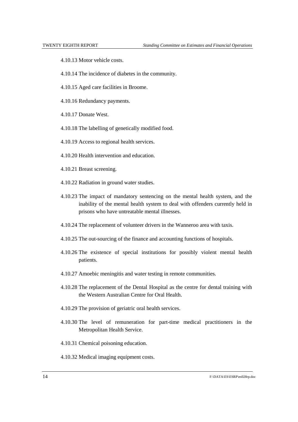- 4.10.13 Motor vehicle costs.
- 4.10.14 The incidence of diabetes in the community.
- 4.10.15 Aged care facilities in Broome.
- 4.10.16 Redundancy payments.
- 4.10.17 Donate West.
- 4.10.18 The labelling of genetically modified food.
- 4.10.19 Access to regional health services.
- 4.10.20 Health intervention and education.
- 4.10.21 Breast screening.
- 4.10.22 Radiation in ground water studies.
- 4.10.23 The impact of mandatory sentencing on the mental health system, and the inability of the mental health system to deal with offenders currently held in prisons who have untreatable mental illnesses.
- 4.10.24 The replacement of volunteer drivers in the Wanneroo area with taxis.
- 4.10.25 The out-sourcing of the finance and accounting functions of hospitals.
- 4.10.26 The existence of special institutions for possibly violent mental health patients.
- 4.10.27 Amoebic meningitis and water testing in remote communities.
- 4.10.28 The replacement of the Dental Hospital as the centre for dental training with the Western Australian Centre for Oral Health.
- 4.10.29 The provision of geriatric oral health services.
- 4.10.30 The level of remuneration for part-time medical practitioners in the Metropolitan Health Service.
- 4.10.31 Chemical poisoning education.
- 4.10.32 Medical imaging equipment costs.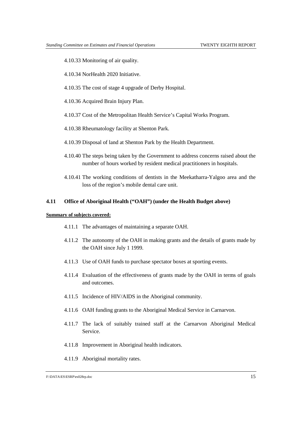- 4.10.33 Monitoring of air quality.
- 4.10.34 NorHealth 2020 Initiative.
- 4.10.35 The cost of stage 4 upgrade of Derby Hospital.
- 4.10.36 Acquired Brain Injury Plan.
- 4.10.37 Cost of the Metropolitan Health Service's Capital Works Program.
- 4.10.38 Rheumatology facility at Shenton Park.
- 4.10.39 Disposal of land at Shenton Park by the Health Department.
- 4.10.40 The steps being taken by the Government to address concerns raised about the number of hours worked by resident medical practitioners in hospitals.
- 4.10.41 The working conditions of dentists in the Meekatharra-Yalgoo area and the loss of the region's mobile dental care unit.

### **4.11 Office of Aboriginal Health ("OAH") (under the Health Budget above)**

- 4.11.1 The advantages of maintaining a separate OAH.
- 4.11.2 The autonomy of the OAH in making grants and the details of grants made by the OAH since July 1 1999.
- 4.11.3 Use of OAH funds to purchase spectator boxes at sporting events.
- 4.11.4 Evaluation of the effectiveness of grants made by the OAH in terms of goals and outcomes.
- 4.11.5 Incidence of HIV/AIDS in the Aboriginal community.
- 4.11.6 OAH funding grants to the Aboriginal Medical Service in Carnarvon.
- 4.11.7 The lack of suitably trained staff at the Carnarvon Aboriginal Medical Service.
- 4.11.8 Improvement in Aboriginal health indicators.
- 4.11.9 Aboriginal mortality rates.

F:\DATA\ES\ESRP\es028rp.doc 15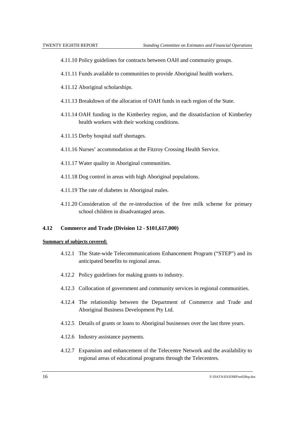- 4.11.10 Policy guidelines for contracts between OAH and community groups.
- 4.11.11 Funds available to communities to provide Aboriginal health workers.
- 4.11.12 Aboriginal scholarships.
- 4.11.13 Breakdown of the allocation of OAH funds in each region of the State.
- 4.11.14 OAH funding in the Kimberley region, and the dissatisfaction of Kimberley health workers with their working conditions.
- 4.11.15 Derby hospital staff shortages.
- 4.11.16 Nurses' accommodation at the Fitzroy Crossing Health Service.
- 4.11.17 Water quality in Aboriginal communities.
- 4.11.18 Dog control in areas with high Aboriginal populations.
- 4.11.19 The rate of diabetes in Aboriginal males.
- 4.11.20 Consideration of the re-introduction of the free milk scheme for primary school children in disadvantaged areas.

### **4.12 Commerce and Trade (Division 12 - \$101,617,000)**

- 4.12.1 The State-wide Telecommunications Enhancement Program ("STEP") and its anticipated benefits to regional areas.
- 4.12.2 Policy guidelines for making grants to industry.
- 4.12.3 Collocation of government and community services in regional communities.
- 4.12.4 The relationship between the Department of Commerce and Trade and Aboriginal Business Development Pty Ltd.
- 4.12.5 Details of grants or loans to Aboriginal businesses over the last three years.
- 4.12.6 Industry assistance payments.
- 4.12.7 Expansion and enhancement of the Telecentre Network and the availability to regional areas of educational programs through the Telecentres.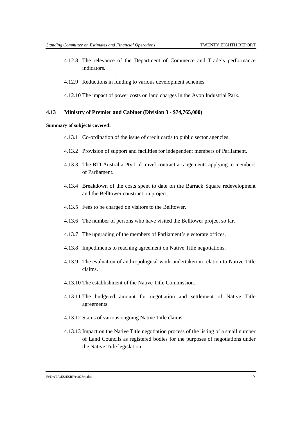- 4.12.8 The relevance of the Department of Commerce and Trade's performance indicators.
- 4.12.9 Reductions in funding to various development schemes.
- 4.12.10 The impact of power costs on land charges in the Avon Industrial Park.

### **4.13 Ministry of Premier and Cabinet (Division 3 - \$74,765,000)**

#### **Summary of subjects covered:**

- 4.13.1 Co-ordination of the issue of credit cards to public sector agencies.
- 4.13.2 Provision of support and facilities for independent members of Parliament.
- 4.13.3 The BTI Australia Pty Ltd travel contract arrangements applying to members of Parliament.
- 4.13.4 Breakdown of the costs spent to date on the Barrack Square redevelopment and the Belltower construction project.
- 4.13.5 Fees to be charged on visitors to the Belltower.
- 4.13.6 The number of persons who have visited the Belltower project so far.
- 4.13.7 The upgrading of the members of Parliament's electorate offices.
- 4.13.8 Impediments to reaching agreement on Native Title negotiations.
- 4.13.9 The evaluation of anthropological work undertaken in relation to Native Title claims.
- 4.13.10 The establishment of the Native Title Commission.
- 4.13.11 The budgeted amount for negotiation and settlement of Native Title agreements.
- 4.13.12 Status of various ongoing Native Title claims.
- 4.13.13 Impact on the Native Title negotiation process of the listing of a small number of Land Councils as registered bodies for the purposes of negotiations under the Native Title legislation.

F:\DATA\ES\ESRP\es028rp.doc 17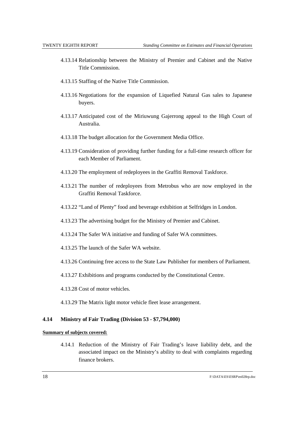- 4.13.14 Relationship between the Ministry of Premier and Cabinet and the Native Title Commission.
- 4.13.15 Staffing of the Native Title Commission.
- 4.13.16 Negotiations for the expansion of Liquefied Natural Gas sales to Japanese buyers.
- 4.13.17 Anticipated cost of the Miriuwung Gajerrong appeal to the High Court of Australia.
- 4.13.18 The budget allocation for the Government Media Office.
- 4.13.19 Consideration of providing further funding for a full-time research officer for each Member of Parliament.
- 4.13.20 The employment of redeployees in the Graffiti Removal Taskforce.
- 4.13.21 The number of redeployees from Metrobus who are now employed in the Graffiti Removal Taskforce.
- 4.13.22 "Land of Plenty" food and beverage exhibition at Selfridges in London.
- 4.13.23 The advertising budget for the Ministry of Premier and Cabinet.
- 4.13.24 The Safer WA initiative and funding of Safer WA committees.
- 4.13.25 The launch of the Safer WA website.
- 4.13.26 Continuing free access to the State Law Publisher for members of Parliament.
- 4.13.27 Exhibitions and programs conducted by the Constitutional Centre.
- 4.13.28 Cost of motor vehicles.
- 4.13.29 The Matrix light motor vehicle fleet lease arrangement.

### **4.14 Ministry of Fair Trading (Division 53 - \$7,794,000)**

### **Summary of subjects covered:**

4.14.1 Reduction of the Ministry of Fair Trading's leave liability debt, and the associated impact on the Ministry's ability to deal with complaints regarding finance brokers.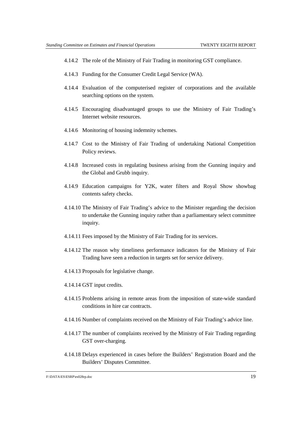- 4.14.2 The role of the Ministry of Fair Trading in monitoring GST compliance.
- 4.14.3 Funding for the Consumer Credit Legal Service (WA).
- 4.14.4 Evaluation of the computerised register of corporations and the available searching options on the system.
- 4.14.5 Encouraging disadvantaged groups to use the Ministry of Fair Trading's Internet website resources.
- 4.14.6 Monitoring of housing indemnity schemes.
- 4.14.7 Cost to the Ministry of Fair Trading of undertaking National Competition Policy reviews.
- 4.14.8 Increased costs in regulating business arising from the Gunning inquiry and the Global and Grubb inquiry.
- 4.14.9 Education campaigns for Y2K, water filters and Royal Show showbag contents safety checks.
- 4.14.10 The Ministry of Fair Trading's advice to the Minister regarding the decision to undertake the Gunning inquiry rather than a parliamentary select committee inquiry.
- 4.14.11 Fees imposed by the Ministry of Fair Trading for its services.
- 4.14.12 The reason why timeliness performance indicators for the Ministry of Fair Trading have seen a reduction in targets set for service delivery.
- 4.14.13 Proposals for legislative change.
- 4.14.14 GST input credits.
- 4.14.15 Problems arising in remote areas from the imposition of state-wide standard conditions in hire car contracts.
- 4.14.16 Number of complaints received on the Ministry of Fair Trading's advice line.
- 4.14.17 The number of complaints received by the Ministry of Fair Trading regarding GST over-charging.
- 4.14.18 Delays experienced in cases before the Builders' Registration Board and the Builders' Disputes Committee.

F:\DATA\ES\ESRP\es028rp.doc 19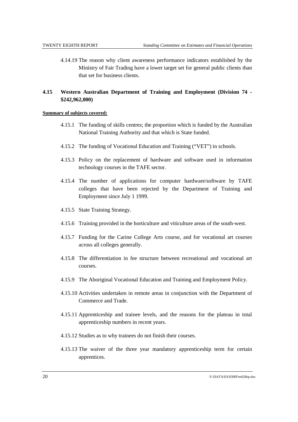4.14.19 The reason why client awareness performance indicators established by the Ministry of Fair Trading have a lower target set for general public clients than that set for business clients.

# **4.15 Western Australian Department of Training and Employment (Division 74 - \$242,962,000)**

- 4.15.1 The funding of skills centres; the proportion which is funded by the Australian National Training Authority and that which is State funded.
- 4.15.2 The funding of Vocational Education and Training ("VET") in schools.
- 4.15.3 Policy on the replacement of hardware and software used in information technology courses in the TAFE sector.
- 4.15.4 The number of applications for computer hardware/software by TAFE colleges that have been rejected by the Department of Training and Employment since July 1 1999.
- 4.15.5 State Training Strategy.
- 4.15.6 Training provided in the horticulture and viticulture areas of the south-west.
- 4.15.7 Funding for the Carine College Arts course, and for vocational art courses across all colleges generally.
- 4.15.8 The differentiation in fee structure between recreational and vocational art courses.
- 4.15.9 The Aboriginal Vocational Education and Training and Employment Policy.
- 4.15.10 Activities undertaken in remote areas in conjunction with the Department of Commerce and Trade.
- 4.15.11 Apprenticeship and trainee levels, and the reasons for the plateau in total apprenticeship numbers in recent years.
- 4.15.12 Studies as to why trainees do not finish their courses.
- 4.15.13 The waiver of the three year mandatory apprenticeship term for certain apprentices.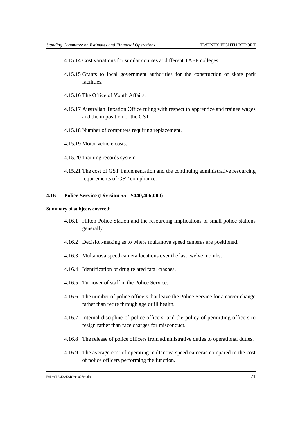- 4.15.14 Cost variations for similar courses at different TAFE colleges.
- 4.15.15 Grants to local government authorities for the construction of skate park facilities.
- 4.15.16 The Office of Youth Affairs.
- 4.15.17 Australian Taxation Office ruling with respect to apprentice and trainee wages and the imposition of the GST.
- 4.15.18 Number of computers requiring replacement.
- 4.15.19 Motor vehicle costs.
- 4.15.20 Training records system.
- 4.15.21 The cost of GST implementation and the continuing administrative resourcing requirements of GST compliance.

### **4.16 Police Service (Division 55 - \$440,406,000)**

#### **Summary of subjects covered:**

- 4.16.1 Hilton Police Station and the resourcing implications of small police stations generally.
- 4.16.2 Decision-making as to where multanova speed cameras are positioned.
- 4.16.3 Multanova speed camera locations over the last twelve months.
- 4.16.4 Identification of drug related fatal crashes.
- 4.16.5 Turnover of staff in the Police Service.
- 4.16.6 The number of police officers that leave the Police Service for a career change rather than retire through age or ill health.
- 4.16.7 Internal discipline of police officers, and the policy of permitting officers to resign rather than face charges for misconduct.
- 4.16.8 The release of police officers from administrative duties to operational duties.
- 4.16.9 The average cost of operating multanova speed cameras compared to the cost of police officers performing the function.

#### F:\DATA\ES\ESRP\es028rp.doc 21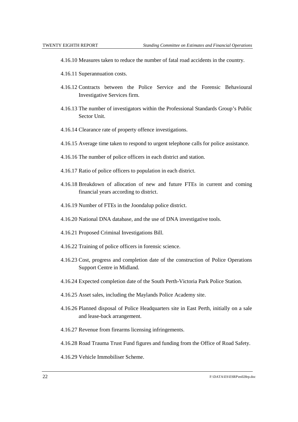- 4.16.10 Measures taken to reduce the number of fatal road accidents in the country.
- 4.16.11 Superannuation costs.
- 4.16.12 Contracts between the Police Service and the Forensic Behavioural Investigative Services firm.
- 4.16.13 The number of investigators within the Professional Standards Group's Public Sector Unit.
- 4.16.14 Clearance rate of property offence investigations.
- 4.16.15 Average time taken to respond to urgent telephone calls for police assistance.
- 4.16.16 The number of police officers in each district and station.
- 4.16.17 Ratio of police officers to population in each district.
- 4.16.18 Breakdown of allocation of new and future FTEs in current and coming financial years according to district.
- 4.16.19 Number of FTEs in the Joondalup police district.
- 4.16.20 National DNA database, and the use of DNA investigative tools.
- 4.16.21 Proposed Criminal Investigations Bill.
- 4.16.22 Training of police officers in forensic science.
- 4.16.23 Cost, progress and completion date of the construction of Police Operations Support Centre in Midland.
- 4.16.24 Expected completion date of the South Perth-Victoria Park Police Station.
- 4.16.25 Asset sales, including the Maylands Police Academy site.
- 4.16.26 Planned disposal of Police Headquarters site in East Perth, initially on a sale and lease-back arrangement.
- 4.16.27 Revenue from firearms licensing infringements.
- 4.16.28 Road Trauma Trust Fund figures and funding from the Office of Road Safety.
- 4.16.29 Vehicle Immobiliser Scheme.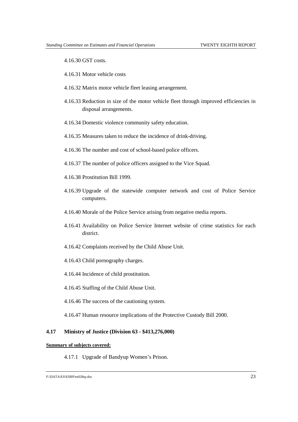4.16.30 GST costs.

- 4.16.31 Motor vehicle costs
- 4.16.32 Matrix motor vehicle fleet leasing arrangement.
- 4.16.33 Reduction in size of the motor vehicle fleet through improved efficiencies in disposal arrangements.
- 4.16.34 Domestic violence community safety education.
- 4.16.35 Measures taken to reduce the incidence of drink-driving.
- 4.16.36 The number and cost of school-based police officers.
- 4.16.37 The number of police officers assigned to the Vice Squad.
- 4.16.38 Prostitution Bill 1999.
- 4.16.39 Upgrade of the statewide computer network and cost of Police Service computers.
- 4.16.40 Morale of the Police Service arising from negative media reports.
- 4.16.41 Availability on Police Service Internet website of crime statistics for each district.
- 4.16.42 Complaints received by the Child Abuse Unit.
- 4.16.43 Child pornography charges.
- 4.16.44 Incidence of child prostitution.
- 4.16.45 Staffing of the Child Abuse Unit.
- 4.16.46 The success of the cautioning system.
- 4.16.47 Human resource implications of the Protective Custody Bill 2000.

### **4.17 Ministry of Justice (Division 63 - \$413,276,000)**

#### **Summary of subjects covered:**

4.17.1 Upgrade of Bandyup Women's Prison.

F:\DATA\ES\ESRP\es028rp.doc 23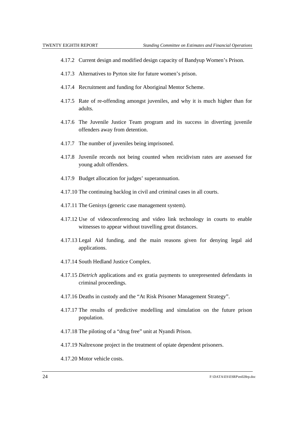- 4.17.2 Current design and modified design capacity of Bandyup Women's Prison.
- 4.17.3 Alternatives to Pyrton site for future women's prison.
- 4.17.4 Recruitment and funding for Aboriginal Mentor Scheme.
- 4.17.5 Rate of re-offending amongst juveniles, and why it is much higher than for adults.
- 4.17.6 The Juvenile Justice Team program and its success in diverting juvenile offenders away from detention.
- 4.17.7 The number of juveniles being imprisoned.
- 4.17.8 Juvenile records not being counted when recidivism rates are assessed for young adult offenders.
- 4.17.9 Budget allocation for judges' superannuation.
- 4.17.10 The continuing backlog in civil and criminal cases in all courts.
- 4.17.11 The Genisys (generic case management system).
- 4.17.12 Use of videoconferencing and video link technology in courts to enable witnesses to appear without travelling great distances.
- 4.17.13 Legal Aid funding, and the main reasons given for denying legal aid applications.
- 4.17.14 South Hedland Justice Complex.
- 4.17.15 *Dietrich* applications and ex gratia payments to unrepresented defendants in criminal proceedings.
- 4.17.16 Deaths in custody and the "At Risk Prisoner Management Strategy".
- 4.17.17 The results of predictive modelling and simulation on the future prison population.
- 4.17.18 The piloting of a "drug free" unit at Nyandi Prison.
- 4.17.19 Naltrexone project in the treatment of opiate dependent prisoners.
- 4.17.20 Motor vehicle costs.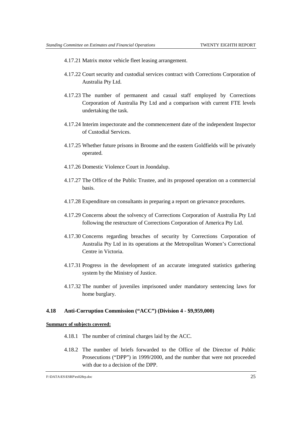- 4.17.21 Matrix motor vehicle fleet leasing arrangement.
- 4.17.22 Court security and custodial services contract with Corrections Corporation of Australia Pty Ltd.
- 4.17.23 The number of permanent and casual staff employed by Corrections Corporation of Australia Pty Ltd and a comparison with current FTE levels undertaking the task.
- 4.17.24 Interim inspectorate and the commencement date of the independent Inspector of Custodial Services.
- 4.17.25 Whether future prisons in Broome and the eastern Goldfields will be privately operated.
- 4.17.26 Domestic Violence Court in Joondalup.
- 4.17.27 The Office of the Public Trustee, and its proposed operation on a commercial basis.
- 4.17.28 Expenditure on consultants in preparing a report on grievance procedures.
- 4.17.29 Concerns about the solvency of Corrections Corporation of Australia Pty Ltd following the restructure of Corrections Corporation of America Pty Ltd.
- 4.17.30 Concerns regarding breaches of security by Corrections Corporation of Australia Pty Ltd in its operations at the Metropolitan Women's Correctional Centre in Victoria.
- 4.17.31 Progress in the development of an accurate integrated statistics gathering system by the Ministry of Justice.
- 4.17.32 The number of juveniles imprisoned under mandatory sentencing laws for home burglary.

### **4.18 Anti-Corruption Commission ("ACC") (Division 4 - \$9,959,000)**

- 4.18.1 The number of criminal charges laid by the ACC.
- 4.18.2 The number of briefs forwarded to the Office of the Director of Public Prosecutions ("DPP") in 1999/2000, and the number that were not proceeded with due to a decision of the DPP.

F:\DATA\ES\ESRP\es028rp.doc 25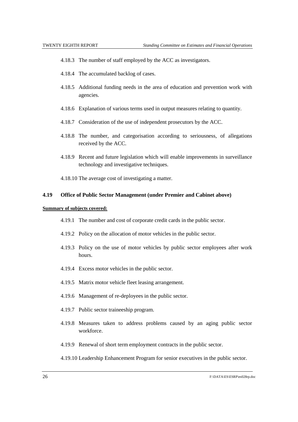- 4.18.3 The number of staff employed by the ACC as investigators.
- 4.18.4 The accumulated backlog of cases.
- 4.18.5 Additional funding needs in the area of education and prevention work with agencies.
- 4.18.6 Explanation of various terms used in output measures relating to quantity.
- 4.18.7 Consideration of the use of independent prosecutors by the ACC.
- 4.18.8 The number, and categorisation according to seriousness, of allegations received by the ACC.
- 4.18.9 Recent and future legislation which will enable improvements in surveillance technology and investigative techniques.
- 4.18.10 The average cost of investigating a matter.

### **4.19 Office of Public Sector Management (under Premier and Cabinet above)**

### **Summary of subjects covered:**

- 4.19.1 The number and cost of corporate credit cards in the public sector.
- 4.19.2 Policy on the allocation of motor vehicles in the public sector.
- 4.19.3 Policy on the use of motor vehicles by public sector employees after work hours.
- 4.19.4 Excess motor vehicles in the public sector.
- 4.19.5 Matrix motor vehicle fleet leasing arrangement.
- 4.19.6 Management of re-deployees in the public sector.
- 4.19.7 Public sector traineeship program.
- 4.19.8 Measures taken to address problems caused by an aging public sector workforce.
- 4.19.9 Renewal of short term employment contracts in the public sector.

### 4.19.10 Leadership Enhancement Program for senior executives in the public sector.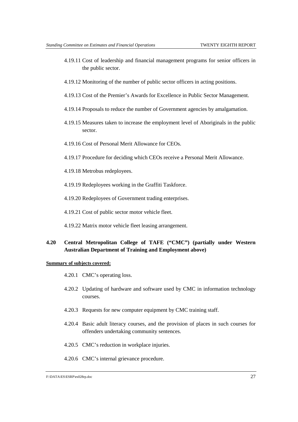- 4.19.11 Cost of leadership and financial management programs for senior officers in the public sector.
- 4.19.12 Monitoring of the number of public sector officers in acting positions.
- 4.19.13 Cost of the Premier's Awards for Excellence in Public Sector Management.
- 4.19.14 Proposals to reduce the number of Government agencies by amalgamation.
- 4.19.15 Measures taken to increase the employment level of Aboriginals in the public sector.
- 4.19.16 Cost of Personal Merit Allowance for CEOs.
- 4.19.17 Procedure for deciding which CEOs receive a Personal Merit Allowance.
- 4.19.18 Metrobus redeployees.
- 4.19.19 Redeployees working in the Graffiti Taskforce.
- 4.19.20 Redeployees of Government trading enterprises.
- 4.19.21 Cost of public sector motor vehicle fleet.
- 4.19.22 Matrix motor vehicle fleet leasing arrangement.

## **4.20 Central Metropolitan College of TAFE ("CMC") (partially under Western Australian Department of Training and Employment above)**

- 4.20.1 CMC's operating loss.
- 4.20.2 Updating of hardware and software used by CMC in information technology courses.
- 4.20.3 Requests for new computer equipment by CMC training staff.
- 4.20.4 Basic adult literacy courses, and the provision of places in such courses for offenders undertaking community sentences.
- 4.20.5 CMC's reduction in workplace injuries.
- 4.20.6 CMC's internal grievance procedure.

F:\DATA\ES\ESRP\es028rp.doc 27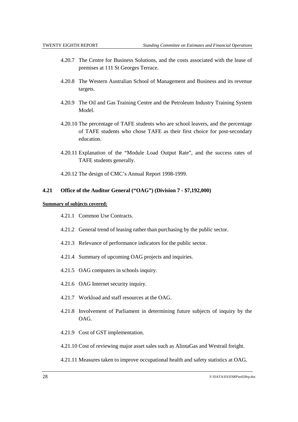- 4.20.7 The Centre for Business Solutions, and the costs associated with the lease of premises at 111 St Georges Terrace.
- 4.20.8 The Western Australian School of Management and Business and its revenue targets.
- 4.20.9 The Oil and Gas Training Centre and the Petroleum Industry Training System Model.
- 4.20.10 The percentage of TAFE students who are school leavers, and the percentage of TAFE students who chose TAFE as their first choice for post-secondary education.
- 4.20.11 Explanation of the "Module Load Output Rate", and the success rates of TAFE students generally.
- 4.20.12 The design of CMC's Annual Report 1998-1999.

### **4.21 Office of the Auditor General ("OAG") (Division 7 - \$7,192,000)**

### **Summary of subjects covered:**

- 4.21.1 Common Use Contracts.
- 4.21.2 General trend of leasing rather than purchasing by the public sector.
- 4.21.3 Relevance of performance indicators for the public sector.
- 4.21.4 Summary of upcoming OAG projects and inquiries.
- 4.21.5 OAG computers in schools inquiry.
- 4.21.6 OAG Internet security inquiry.
- 4.21.7 Workload and staff resources at the OAG.
- 4.21.8 Involvement of Parliament in determining future subjects of inquiry by the OAG.
- 4.21.9 Cost of GST implementation.
- 4.21.10 Cost of reviewing major asset sales such as AlintaGas and Westrail freight.

### 4.21.11 Measures taken to improve occupational health and safety statistics at OAG.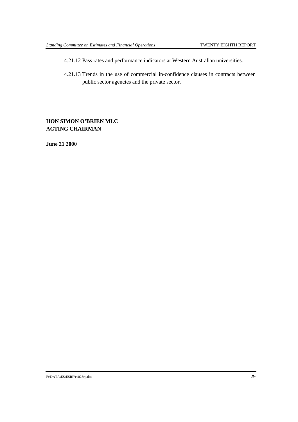- 4.21.12 Pass rates and performance indicators at Western Australian universities.
- 4.21.13 Trends in the use of commercial in-confidence clauses in contracts between public sector agencies and the private sector.

# **HON SIMON O'BRIEN MLC ACTING CHAIRMAN**

**June 21 2000**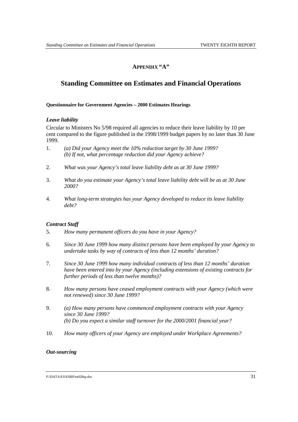# **APPENDIX "A"**

# **Standing Committee on Estimates and Financial Operations**

### **Questionnaire for Government Agencies – 2000 Estimates Hearings**

### *Leave liability*

Circular to Ministers No 5/98 required all agencies to reduce their leave liability by 10 per cent compared to the figure published in the 1998/1999 budget papers by no later than 30 June 1999.

- 1. *(a) Did your Agency meet the 10% reduction target by 30 June 1999? (b) If not, what percentage reduction did your Agency achieve?*
- 2. *What was your Agency's total leave liability debt as at 30 June 1999?*
- 3. *What do you estimate your Agency's total leave liability debt will be as at 30 June 2000?*
- 4. *What long-term strategies has your Agency developed to reduce its leave liability debt?*

## *Contract Staff*

- 5. *How many permanent officers do you have in your Agency?*
- 6. *Since 30 June 1999 how many distinct persons have been employed by your Agency to undertake tasks by way of contracts of less than 12 months' duration?*
- 7. *Since 30 June 1999 how many individual contracts of less than 12 months' duration have been entered into by your Agency (including extensions of existing contracts for further periods of less than twelve months)?*
- 8. *How many persons have ceased employment contracts with your Agency (which were not renewed) since 30 June 1999?*
- 9. *(a) How many persons have commenced employment contracts with your Agency since 30 June 1999? (b) Do you expect a similar staff turnover for the 2000/2001 financial year?*
- 10. *How many officers of your Agency are employed under Workplace Agreements?*

### *Out-sourcing*

F:\DATA\ES\ESRP\es028rp.doc 31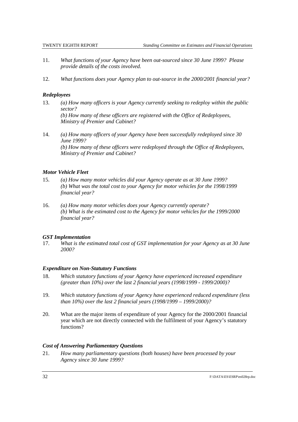- 11. *What functions of your Agency have been out-sourced since 30 June 1999? Please provide details of the costs involved.*
- 12. *What functions does your Agency plan to out-source in the 2000/2001 financial year?*

## *Redeployees*

- 13. *(a) How many officers is your Agency currently seeking to redeploy within the public sector? (b) How many of these officers are registered with the Office of Redeployees, Ministry of Premier and Cabinet?*
- 14. *(a) How many officers of your Agency have been successfully redeployed since 30 June 1999? (b) How many of these officers were redeployed through the Office of Redeployees, Ministry of Premier and Cabinet?*

## *Motor Vehicle Fleet*

- 15. *(a) How many motor vehicles did your Agency operate as at 30 June 1999? (b) What was the total cost to your Agency for motor vehicles for the 1998/1999 financial year?*
- 16. *(a) How many motor vehicles does your Agency currently operate? (b) What is the estimated cost to the Agency for motor vehicles for the 1999/2000 financial year?*

## *GST Implementation*

17. *What is the estimated total cost of GST implementation for your Agency as at 30 June 2000?*

## *Expenditure on Non-Statutory Functions*

- 18. *Which statutory functions of your Agency have experienced increased expenditure (greater than 10%) over the last 2 financial years (1998/1999 - 1999/2000)?*
- 19. *Which statutory functions of your Agency have experienced reduced expenditure (less than 10%) over the last 2 financial years (1998/1999 – 1999/2000)?*
- 20. What are the major items of expenditure of your Agency for the 2000/2001 financial year which are not directly connected with the fulfilment of your Agency's statutory functions?

## *Cost of Answering Parliamentary Questions*

21. *How many parliamentary questions (both houses) have been processed by your Agency since 30 June 1999?*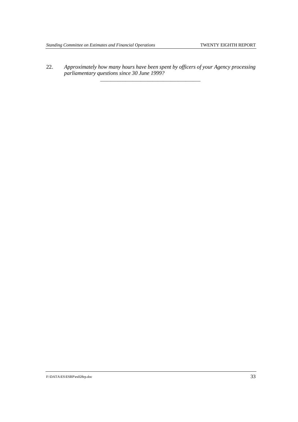22. *Approximately how many hours have been spent by officers of your Agency processing parliamentary questions since 30 June 1999?* \_\_\_\_\_\_\_\_\_\_\_\_\_\_\_\_\_\_\_\_\_\_\_\_\_\_\_\_\_\_\_\_\_\_\_\_\_\_\_\_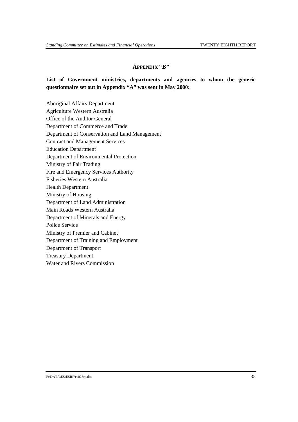### **APPENDIX "B"**

## **List of Government ministries, departments and agencies to whom the generic questionnaire set out in Appendix "A" was sent in May 2000:**

Aboriginal Affairs Department Agriculture Western Australia Office of the Auditor General Department of Commerce and Trade Department of Conservation and Land Management Contract and Management Services Education Department Department of Environmental Protection Ministry of Fair Trading Fire and Emergency Services Authority Fisheries Western Australia Health Department Ministry of Housing Department of Land Administration Main Roads Western Australia Department of Minerals and Energy Police Service Ministry of Premier and Cabinet Department of Training and Employment Department of Transport Treasury Department Water and Rivers Commission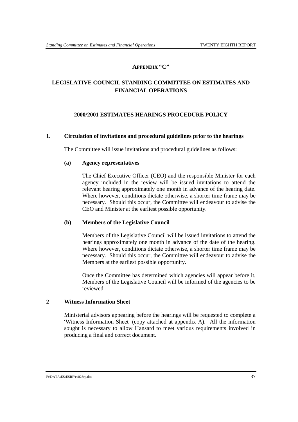### **APPENDIX "C"**

# **LEGISLATIVE COUNCIL STANDING COMMITTEE ON ESTIMATES AND FINANCIAL OPERATIONS**

### **2000/2001 ESTIMATES HEARINGS PROCEDURE POLICY**

### **1. Circulation of invitations and procedural guidelines prior to the hearings**

The Committee will issue invitations and procedural guidelines as follows:

### **(a) Agency representatives**

The Chief Executive Officer (CEO) and the responsible Minister for each agency included in the review will be issued invitations to attend the relevant hearing approximately one month in advance of the hearing date. Where however, conditions dictate otherwise, a shorter time frame may be necessary. Should this occur, the Committee will endeavour to advise the CEO and Minister at the earliest possible opportunity.

### **(b) Members of the Legislative Council**

Members of the Legislative Council will be issued invitations to attend the hearings approximately one month in advance of the date of the hearing. Where however, conditions dictate otherwise, a shorter time frame may be necessary. Should this occur, the Committee will endeavour to advise the Members at the earliest possible opportunity.

Once the Committee has determined which agencies will appear before it, Members of the Legislative Council will be informed of the agencies to be reviewed.

### **2 Witness Information Sheet**

Ministerial advisors appearing before the hearings will be requested to complete a 'Witness Information Sheet' (copy attached at appendix A). All the information sought is necessary to allow Hansard to meet various requirements involved in producing a final and correct document.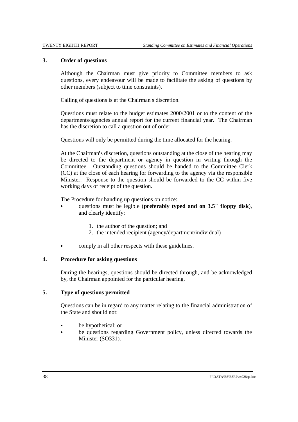### **3. Order of questions**

Although the Chairman must give priority to Committee members to ask questions, every endeavour will be made to facilitate the asking of questions by other members (subject to time constraints).

Calling of questions is at the Chairman's discretion.

Questions must relate to the budget estimates 2000/2001 or to the content of the departments/agencies annual report for the current financial year. The Chairman has the discretion to call a question out of order.

Questions will only be permitted during the time allocated for the hearing.

At the Chairman's discretion, questions outstanding at the close of the hearing may be directed to the department or agency in question in writing through the Committee. Outstanding questions should be handed to the Committee Clerk (CC) at the close of each hearing for forwarding to the agency via the responsible Minister. Response to the question should be forwarded to the CC within five working days of receipt of the question.

The Procedure for handing up questions on notice: &

- questions must be legible (**preferably typed and on 3.5" floppy disk**), and clearly identify:
	- 1. the author of the question; and
	- 2. the intended recipient (agency/department/individual)
- comply in all other respects with these guidelines.

### **4. Procedure for asking questions**

During the hearings, questions should be directed through, and be acknowledged by, the Chairman appointed for the particular hearing.

## **5. Type of questions permitted**

Questions can be in regard to any matter relating to the financial administration of the State and should not:

- be hypothetical; or  $\ddot{\phantom{0}}$
- be questions regarding Government policy, unless directed towards the Minister (SO331).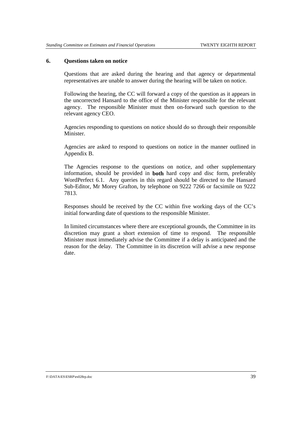### **6. Questions taken on notice**

Questions that are asked during the hearing and that agency or departmental representatives are unable to answer during the hearing will be taken on notice.

Following the hearing, the CC will forward a copy of the question as it appears in the uncorrected Hansard to the office of the Minister responsible for the relevant agency. The responsible Minister must then on-forward such question to the relevant agency CEO.

Agencies responding to questions on notice should do so through their responsible Minister.

Agencies are asked to respond to questions on notice in the manner outlined in Appendix B.

The Agencies response to the questions on notice, and other supplementary information, should be provided in **both** hard copy and disc form, preferably WordPerfect 6.1. Any queries in this regard should be directed to the Hansard Sub-Editor, Mr Morey Grafton, by telephone on 9222 7266 or facsimile on 9222 7813.

Responses should be received by the CC within five working days of the CC's initial forwarding date of questions to the responsible Minister.

In limited circumstances where there are exceptional grounds, the Committee in its discretion may grant a short extension of time to respond. The responsible Minister must immediately advise the Committee if a delay is anticipated and the reason for the delay. The Committee in its discretion will advise a new response date.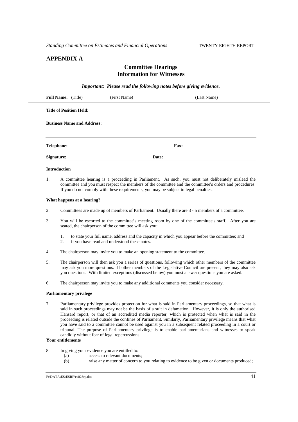## **APPENDIX A**

### **Committee Hearings Information for Witnesses**

*Important: Please read the following notes before giving evidence.*

| <b>Full Name:</b> (Title)         | (First Name) | (Last Name) |  |  |  |
|-----------------------------------|--------------|-------------|--|--|--|
| <b>Title of Position Held:</b>    |              |             |  |  |  |
| <b>Business Name and Address:</b> |              |             |  |  |  |
| <b>Telephone:</b>                 |              | Fax:        |  |  |  |
| Signature:                        |              | Date:       |  |  |  |

#### **Introduction**

1. A committee hearing is a proceeding in Parliament. As such, you must not deliberately mislead the committee and you must respect the members of the committee and the committee s orders and procedures. If you do not comply with these requirements, you may be subject to legal penalties.

#### **What happens at a hearing?**

- 2. Committees are made up of members of Parliament. Usually there are 3 5 members of a committee.
- 3. You will be escorted to the committee s meeting room by one of the committee s staff. After you are seated, the chairperson of the committee will ask you:
	- 1. to state your full name, address and the capacity in which you appear before the committee; and
	- 2. if you have read and understood these notes.
- 4. The chairperson may invite you to make an opening statement to the committee.
- 5. The chairperson will then ask you a series of questions, following which other members of the committee may ask you more questions. If other members of the Legislative Council are present, they may also ask you questions. With limited exceptions (discussed below) you must answer questions you are asked.
- 6. The chairperson may invite you to make any additional comments you consider necessary.

#### **Parliamentary privilege**

7. Parliamentary privilege provides protection for what is said in Parliamentary proceedings, so that what is said in such proceedings may not be the basis of a suit in defamation. However, it is only the authorised Hansard report, or that of an accredited media reporter, which is protected when what is said in the proceeding is related outside the confines of Parliament. Similarly, Parliamentary privilege means that what you have said to a committee cannot be used against you in a subsequent related proceeding in a court or tribunal. The purpose of Parliamentary privilege is to enable parliamentarians and witnesses to speak candidly without fear of legal repercussions.

#### **Your entitlements**

- 8. In giving your evidence you are entitled to:
	- (a) access to relevant documents;
	- (b) raise any matter of concern to you relating to evidence to be given or documents produced;

F:\DATA\ES\ESRP\es028rp.doc 41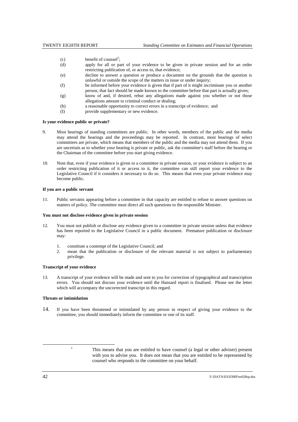- (c) benefit of counsel<sup>1</sup>;
- (d) apply for all or part of your evidence to be given in private session and for an order restricting publication of, or access to, that evidence;
- (e) decline to answer a question or produce a document on the grounds that the question is unlawful or outside the scope of the matters in issue or under inquiry;
- (f) be informed before your evidence is given that if part of it might incriminate you or another person, that fact should be made known to the committee before that part is actually given;
- (g) know of and, if desired, rebut any allegations made against you whether or not those allegations amount to criminal conduct or dealing;
- (h) a reasonable opportunity to correct errors in a transcript of evidence; and
- (I) provide supplementary or new evidence.

#### **Is your evidence public or private?**

- 9. Most hearings of standing committees are public. In other words, members of the public and the media may attend the hearings and the proceedings may be reported. In contrast, most hearings of select committees are private, which means that members of the public and the media may not attend them. If you are uncertain as to whether your hearing is private or public, ask the committee s staff before the hearing or the Chairman of the committee before you start giving evidence.
- 10. Note that, even if your evidence is given to a committee in private session, or your evidence is subject to an order restricting publication of it or access to it, the committee can still report your evidence to the Legislative Council if it considers it necessary to do so. This means that even your private evidence may become public.

#### **If you are a public servant**

11. Public servants appearing before a committee in that capacity are entitled to refuse to answer questions on matters of policy. The committee must direct all such questions to the responsible Minister.

#### **You must not disclose evidence given in private session**

- 12. You must not publish or disclose any evidence given to a committee in private session unless that evidence has been reported to the Legislative Council in a public document. Premature publication or disclosure may:
	- 1. constitute a contempt of the Legislative Council; and
	- 2. mean that the publication or disclosure of the relevant material is not subject to parliamentary privilege.

#### **Transcript of your evidence**

13. A transcript of your evidence will be made and sent to you for correction of typographical and transcription errors. You should not discuss your evidence until the Hansard report is finalised. Please see the letter which will accompany the uncorrected transcript in this regard.

#### **Threats or intimidation**

14. If you have been threatened or intimidated by any person in respect of giving your evidence to the committee, you should immediately inform the committee or one of its staff.

<sup>&</sup>lt;sup>1</sup> This means that you are entitled to have counsel (a legal or other adviser) present with you to advise you. It does not mean that you are entitled to be represented by counsel who responds to the committee on your behalf.